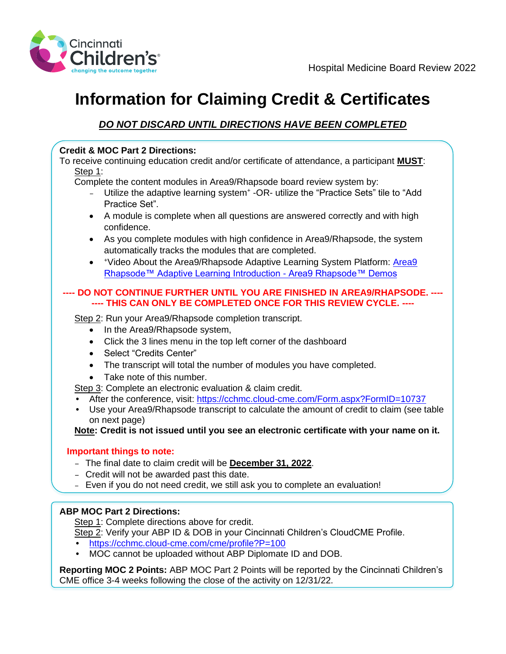

# **Information for Claiming Credit & Certificates**

## *DO NOT DISCARD UNTIL DIRECTIONS HAVE BEEN COMPLETED*

### **Credit & MOC Part 2 Directions:**

To receive continuing education credit and/or certificate of attendance, a participant **MUST**: Step 1:

Complete the content modules in Area9/Rhapsode board review system by:

- Utilize the adaptive learning system<sup>+</sup> -OR- utilize the "Practice Sets" tile to "Add Practice Set".
- A module is complete when all questions are answered correctly and with high confidence.
- As you complete modules with high confidence in Area9/Rhapsode, the system automatically tracks the modules that are completed.
- + Video About the Area9/Rhapsode Adaptive Learning System Platform: Area9 [Rhapsode™ Adaptive Learning Introduction -](https://t.sidekickopen07.com/s3t/c/5/f18dQhb0S7kF8bpVdXW5RlZd42zGCwVN8Jbw_8QsRtKVngNgg5v_ShjW16gGBd2qBNVN101?te=W3R5hFj4cm2zwW3M0hxj1JHRWmW4fJdNj41RkwNW3K6KcQ3GHmnnW3zdZLB3ZsM05W3K8pJK4t8tfnW2kd5XT3zdZLBW3ZWV0k3Vz7qXW4fHTvp1_l0-BW3_SMDQ3zbTthW1QxcFb41sk9kW4kclwJ4kFl2XW43v69h1N5czSf3CbgvT04&si=8000000002699122&pi=90f2cac2-0173-44c3-abcc-4cc15a65e4f3) Area9 Rhapsode™ Demos

### **---- DO NOT CONTINUE FURTHER UNTIL YOU ARE FINISHED IN AREA9/RHAPSODE. ---- ---- THIS CAN ONLY BE COMPLETED ONCE FOR THIS REVIEW CYCLE. ----**

Step 2: Run your Area9/Rhapsode completion transcript.

- In the Area9/Rhapsode system,
- Click the 3 lines menu in the top left corner of the dashboard
- Select "Credits Center"
- The transcript will total the number of modules you have completed.
- Take note of this number.

Step 3: Complete an electronic evaluation & claim credit.

- After the conference, visit: <https://cchmc.cloud-cme.com/Form.aspx?FormID=10737>
- Use your Area9/Rhapsode transcript to calculate the amount of credit to claim (see table on next page)

**Note: Credit is not issued until you see an electronic certificate with your name on it.**

#### **Important things to note:**

- The final date to claim credit will be **December 31, 2022**.
- Credit will not be awarded past this date.
- Even if you do not need credit, we still ask you to complete an evaluation!

#### **ABP MOC Part 2 Directions:**

Step 1: Complete directions above for credit.

- Step 2: Verify your ABP ID & DOB in your Cincinnati Children's CloudCME Profile.
- <https://cchmc.cloud-cme.com/cme/profile?P=100>
- MOC cannot be uploaded without ABP Diplomate ID and DOB.

**Reporting MOC 2 Points:** ABP MOC Part 2 Points will be reported by the Cincinnati Children's CME office 3-4 weeks following the close of the activity on 12/31/22.